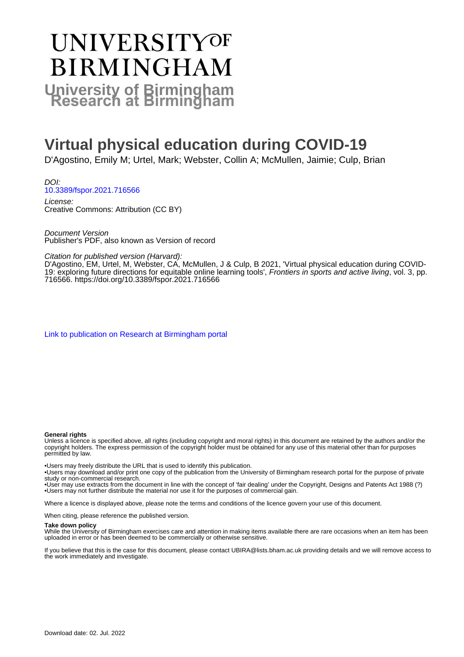# **UNIVERSITYOF BIRMINGHAM University of Birmingham**

# **Virtual physical education during COVID-19**

D'Agostino, Emily M; Urtel, Mark; Webster, Collin A; McMullen, Jaimie; Culp, Brian

DOI: [10.3389/fspor.2021.716566](https://doi.org/10.3389/fspor.2021.716566)

License: Creative Commons: Attribution (CC BY)

Document Version Publisher's PDF, also known as Version of record

Citation for published version (Harvard):

D'Agostino, EM, Urtel, M, Webster, CA, McMullen, J & Culp, B 2021, 'Virtual physical education during COVID-19: exploring future directions for equitable online learning tools', Frontiers in sports and active living, vol. 3, pp. 716566. <https://doi.org/10.3389/fspor.2021.716566>

[Link to publication on Research at Birmingham portal](https://birmingham.elsevierpure.com/en/publications/e86855b7-7940-4b2f-b04d-aa0b9f8919a9)

#### **General rights**

Unless a licence is specified above, all rights (including copyright and moral rights) in this document are retained by the authors and/or the copyright holders. The express permission of the copyright holder must be obtained for any use of this material other than for purposes permitted by law.

• Users may freely distribute the URL that is used to identify this publication.

• Users may download and/or print one copy of the publication from the University of Birmingham research portal for the purpose of private study or non-commercial research.

• User may use extracts from the document in line with the concept of 'fair dealing' under the Copyright, Designs and Patents Act 1988 (?) • Users may not further distribute the material nor use it for the purposes of commercial gain.

Where a licence is displayed above, please note the terms and conditions of the licence govern your use of this document.

When citing, please reference the published version.

#### **Take down policy**

While the University of Birmingham exercises care and attention in making items available there are rare occasions when an item has been uploaded in error or has been deemed to be commercially or otherwise sensitive.

If you believe that this is the case for this document, please contact UBIRA@lists.bham.ac.uk providing details and we will remove access to the work immediately and investigate.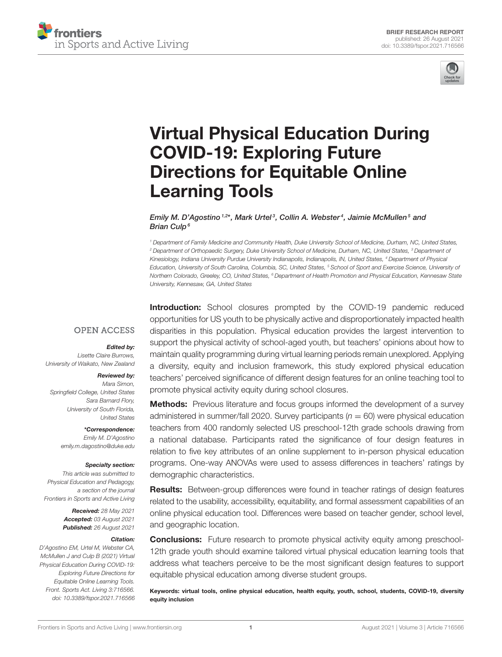



# [Virtual Physical Education During](https://www.frontiersin.org/articles/10.3389/fspor.2021.716566/full) COVID-19: Exploring Future Directions for Equitable Online Learning Tools

Emily M. D'Agostino 1,2\*, Mark Urtel<sup>3</sup>, Collin A. Webster<sup>4</sup>, Jaimie McMullen<sup>5</sup> and Brian Culp<sup>6</sup>

*<sup>1</sup> Department of Family Medicine and Community Health, Duke University School of Medicine, Durham, NC, United States, <sup>2</sup> Department of Orthopaedic Surgery, Duke University School of Medicine, Durham, NC, United States, <sup>3</sup> Department of Kinesiology, Indiana University Purdue University Indianapolis, Indianapolis, IN, United States, <sup>4</sup> Department of Physical Education, University of South Carolina, Columbia, SC, United States, <sup>5</sup> School of Sport and Exercise Science, University of Northern Colorado, Greeley, CO, United States, <sup>6</sup> Department of Health Promotion and Physical Education, Kennesaw State University, Kennesaw, GA, United States*

#### **OPEN ACCESS**

#### Edited by:

*Lisette Claire Burrows, University of Waikato, New Zealand*

#### Reviewed by:

*Mara Simon, Springfield College, United States Sara Barnard Flory, University of South Florida, United States*

> \*Correspondence: *Emily M. D'Agostino [emily.m.dagostino@duke.edu](mailto:emily.m.dagostino@duke.edu)*

#### Specialty section:

*This article was submitted to Physical Education and Pedagogy, a section of the journal Frontiers in Sports and Active Living*

> Received: *28 May 2021* Accepted: *03 August 2021* Published: *26 August 2021*

#### Citation:

*D'Agostino EM, Urtel M, Webster CA, McMullen J and Culp B (2021) Virtual Physical Education During COVID-19: Exploring Future Directions for Equitable Online Learning Tools. Front. Sports Act. Living 3:716566. doi: [10.3389/fspor.2021.716566](https://doi.org/10.3389/fspor.2021.716566)*

**Introduction:** School closures prompted by the COVID-19 pandemic reduced opportunities for US youth to be physically active and disproportionately impacted health disparities in this population. Physical education provides the largest intervention to support the physical activity of school-aged youth, but teachers' opinions about how to maintain quality programming during virtual learning periods remain unexplored. Applying a diversity, equity and inclusion framework, this study explored physical education teachers' perceived significance of different design features for an online teaching tool to promote physical activity equity during school closures.

**Methods:** Previous literature and focus groups informed the development of a survey administered in summer/fall 2020. Survey participants (*n* = 60) were physical education teachers from 400 randomly selected US preschool-12th grade schools drawing from a national database. Participants rated the significance of four design features in relation to five key attributes of an online supplement to in-person physical education programs. One-way ANOVAs were used to assess differences in teachers' ratings by demographic characteristics.

Results: Between-group differences were found in teacher ratings of design features related to the usability, accessibility, equitability, and formal assessment capabilities of an online physical education tool. Differences were based on teacher gender, school level, and geographic location.

**Conclusions:** Future research to promote physical activity equity among preschool-12th grade youth should examine tailored virtual physical education learning tools that address what teachers perceive to be the most significant design features to support equitable physical education among diverse student groups.

Keywords: virtual tools, online physical education, health equity, youth, school, students, COVID-19, diversity equity inclusion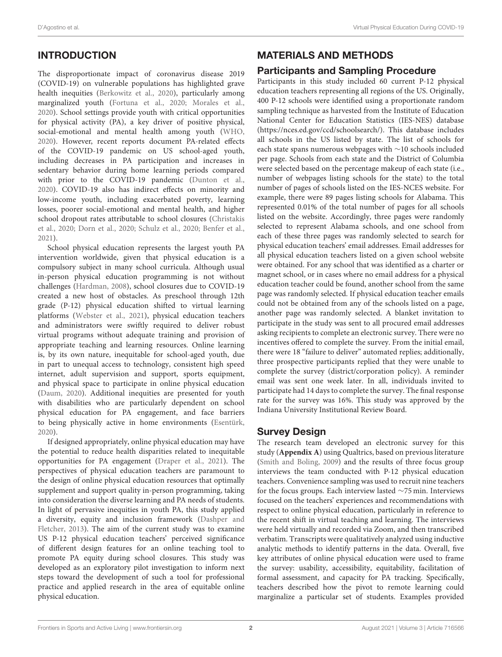# INTRODUCTION

The disproportionate impact of coronavirus disease 2019 (COVID-19) on vulnerable populations has highlighted grave health inequities [\(Berkowitz et al., 2020\)](#page-6-0), particularly among marginalized youth [\(Fortuna et al., 2020;](#page-6-1) [Morales et al.,](#page-6-2) [2020\)](#page-6-2). School settings provide youth with critical opportunities for physical activity (PA), a key driver of positive physical, social-emotional and mental health among youth [\(WHO,](#page-6-3) [2020\)](#page-6-3). However, recent reports document PA-related effects of the COVID-19 pandemic on US school-aged youth, including decreases in PA participation and increases in sedentary behavior during home learning periods compared with prior to the COVID-19 pandemic [\(Dunton et al.,](#page-6-4) [2020\)](#page-6-4). COVID-19 also has indirect effects on minority and low-income youth, including exacerbated poverty, learning losses, poorer social-emotional and mental health, and higher school dropout rates attributable to school closures (Christakis et al., [2020;](#page-6-5) [Dorn et al., 2020;](#page-6-6) [Schulz et al., 2020;](#page-6-7) [Benfer et](#page-6-8) al., [2021\)](#page-6-8).

School physical education represents the largest youth PA intervention worldwide, given that physical education is a compulsory subject in many school curricula. Although usual in-person physical education programming is not without challenges [\(Hardman, 2008\)](#page-6-9), school closures due to COVID-19 created a new host of obstacles. As preschool through 12th grade (P-12) physical education shifted to virtual learning platforms [\(Webster et al., 2021\)](#page-6-10), physical education teachers and administrators were swiftly required to deliver robust virtual programs without adequate training and provision of appropriate teaching and learning resources. Online learning is, by its own nature, inequitable for school-aged youth, due in part to unequal access to technology, consistent high speed internet, adult supervision and support, sports equipment, and physical space to participate in online physical education [\(Daum, 2020\)](#page-6-11). Additional inequities are presented for youth with disabilities who are particularly dependent on school physical education for PA engagement, and face barriers to being physically active in home environments [\(Esentürk,](#page-6-12) [2020\)](#page-6-12).

If designed appropriately, online physical education may have the potential to reduce health disparities related to inequitable opportunities for PA engagement [\(Draper et al., 2021\)](#page-6-13). The perspectives of physical education teachers are paramount to the design of online physical education resources that optimally supplement and support quality in-person programming, taking into consideration the diverse learning and PA needs of students. In light of pervasive inequities in youth PA, this study applied a diversity, equity and inclusion framework (Dashper and Fletcher, [2013\)](#page-6-14). The aim of the current study was to examine US P-12 physical education teachers' perceived significance of different design features for an online teaching tool to promote PA equity during school closures. This study was developed as an exploratory pilot investigation to inform next steps toward the development of such a tool for professional practice and applied research in the area of equitable online physical education.

# MATERIALS AND METHODS

#### Participants and Sampling Procedure

Participants in this study included 60 current P-12 physical education teachers representing all regions of the US. Originally, 400 P-12 schools were identified using a proportionate random sampling technique as harvested from the Institute of Education National Center for Education Statistics (IES-NES) database [\(https://nces.ed.gov/ccd/schoolsearch/\)](https://nces.ed.gov/ccd/schoolsearch/). This database includes all schools in the US listed by state. The list of schools for each state spans numerous webpages with ∼10 schools included per page. Schools from each state and the District of Columbia were selected based on the percentage makeup of each state (i.e., number of webpages listing schools for the state) to the total number of pages of schools listed on the IES-NCES website. For example, there were 89 pages listing schools for Alabama. This represented 0.01% of the total number of pages for all schools listed on the website. Accordingly, three pages were randomly selected to represent Alabama schools, and one school from each of these three pages was randomly selected to search for physical education teachers' email addresses. Email addresses for all physical education teachers listed on a given school website were obtained. For any school that was identified as a charter or magnet school, or in cases where no email address for a physical education teacher could be found, another school from the same page was randomly selected. If physical education teacher emails could not be obtained from any of the schools listed on a page, another page was randomly selected. A blanket invitation to participate in the study was sent to all procured email addresses asking recipients to complete an electronic survey. There were no incentives offered to complete the survey. From the initial email, there were 18 "failure to deliver" automated replies; additionally, three prospective participants replied that they were unable to complete the survey (district/corporation policy). A reminder email was sent one week later. In all, individuals invited to participate had 14 days to complete the survey. The final response rate for the survey was 16%. This study was approved by the Indiana University Institutional Review Board.

#### Survey Design

The research team developed an electronic survey for this study (**[Appendix A](#page-5-0)**) using Qualtrics, based on previous literature [\(Smith and Boling, 2009\)](#page-6-15) and the results of three focus group interviews the team conducted with P-12 physical education teachers. Convenience sampling was used to recruit nine teachers for the focus groups. Each interview lasted ∼75 min. Interviews focused on the teachers' experiences and recommendations with respect to online physical education, particularly in reference to the recent shift in virtual teaching and learning. The interviews were held virtually and recorded via Zoom, and then transcribed verbatim. Transcripts were qualitatively analyzed using inductive analytic methods to identify patterns in the data. Overall, five key attributes of online physical education were used to frame the survey: usability, accessibility, equitability, facilitation of formal assessment, and capacity for PA tracking. Specifically, teachers described how the pivot to remote learning could marginalize a particular set of students. Examples provided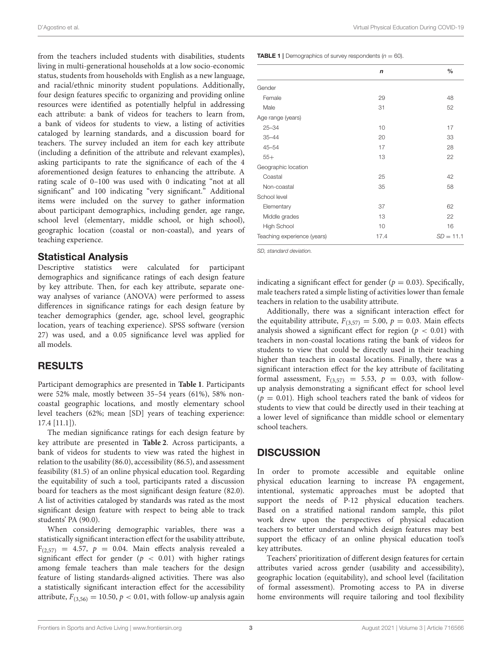from the teachers included students with disabilities, students living in multi-generational households at a low socio-economic status, students from households with English as a new language, and racial/ethnic minority student populations. Additionally, four design features specific to organizing and providing online resources were identified as potentially helpful in addressing each attribute: a bank of videos for teachers to learn from, a bank of videos for students to view, a listing of activities cataloged by learning standards, and a discussion board for teachers. The survey included an item for each key attribute (including a definition of the attribute and relevant examples), asking participants to rate the significance of each of the 4 aforementioned design features to enhancing the attribute. A rating scale of 0–100 was used with 0 indicating "not at all significant" and 100 indicating "very significant." Additional items were included on the survey to gather information about participant demographics, including gender, age range, school level (elementary, middle school, or high school), geographic location (coastal or non-coastal), and years of teaching experience.

#### Statistical Analysis

Descriptive statistics were calculated for participant demographics and significance ratings of each design feature by key attribute. Then, for each key attribute, separate oneway analyses of variance (ANOVA) were performed to assess differences in significance ratings for each design feature by teacher demographics (gender, age, school level, geographic location, years of teaching experience). SPSS software (version 27) was used, and a 0.05 significance level was applied for all models.

#### RESULTS

Participant demographics are presented in **[Table 1](#page-3-0)**. Participants were 52% male, mostly between 35–54 years (61%), 58% noncoastal geographic locations, and mostly elementary school level teachers (62%; mean [SD] years of teaching experience: 17.4 [11.1]).

The median significance ratings for each design feature by key attribute are presented in **[Table 2](#page-4-0)**. Across participants, a bank of videos for students to view was rated the highest in relation to the usability (86.0), accessibility (86.5), and assessment feasibility (81.5) of an online physical education tool. Regarding the equitability of such a tool, participants rated a discussion board for teachers as the most significant design feature (82.0). A list of activities cataloged by standards was rated as the most significant design feature with respect to being able to track students' PA (90.0).

When considering demographic variables, there was a statistically significant interaction effect for the usability attribute,  $F_{(2,57)} = 4.57$ ,  $p = 0.04$ . Main effects analysis revealed a significant effect for gender ( $p < 0.01$ ) with higher ratings among female teachers than male teachers for the design feature of listing standards-aligned activities. There was also a statistically significant interaction effect for the accessibility attribute,  $F_{(3,56)} = 10.50, p < 0.01$ , with follow-up analysis again <span id="page-3-0"></span>**TABLE 1** | Demographics of survey respondents  $(n = 60)$ .

|                             | $\mathsf{n}$ | $\frac{0}{0}$ |
|-----------------------------|--------------|---------------|
|                             |              |               |
| Gender                      |              |               |
| Female                      | 29           | 48            |
| Male                        | 31           | 52            |
| Age range (years)           |              |               |
| $25 - 34$                   | 10           | 17            |
| $35 - 44$                   | 20           | 33            |
| $45 - 54$                   | 17           | 28            |
| $55+$                       | 13           | 22            |
| Geographic location         |              |               |
| Coastal                     | 25           | 42            |
| Non-coastal                 | 35           | 58            |
| School level                |              |               |
| Elementary                  | 37           | 62            |
| Middle grades               | 13           | 22            |
| <b>High School</b>          | 10           | 16            |
| Teaching experience (years) | 17.4         | $SD = 11.1$   |

*SD, standard deviation.*

indicating a significant effect for gender ( $p = 0.03$ ). Specifically, male teachers rated a simple listing of activities lower than female teachers in relation to the usability attribute.

Additionally, there was a significant interaction effect for the equitability attribute,  $F_{(3,57)} = 5.00$ ,  $p = 0.03$ . Main effects analysis showed a significant effect for region ( $p < 0.01$ ) with teachers in non-coastal locations rating the bank of videos for students to view that could be directly used in their teaching higher than teachers in coastal locations. Finally, there was a significant interaction effect for the key attribute of facilitating formal assessment,  $F_{(3,57)} = 5.53$ ,  $p = 0.03$ , with followup analysis demonstrating a significant effect for school level  $(p = 0.01)$ . High school teachers rated the bank of videos for students to view that could be directly used in their teaching at a lower level of significance than middle school or elementary school teachers.

#### **DISCUSSION**

In order to promote accessible and equitable online physical education learning to increase PA engagement, intentional, systematic approaches must be adopted that support the needs of P-12 physical education teachers. Based on a stratified national random sample, this pilot work drew upon the perspectives of physical education teachers to better understand which design features may best support the efficacy of an online physical education tool's key attributes.

Teachers' prioritization of different design features for certain attributes varied across gender (usability and accessibility), geographic location (equitability), and school level (facilitation of formal assessment). Promoting access to PA in diverse home environments will require tailoring and tool flexibility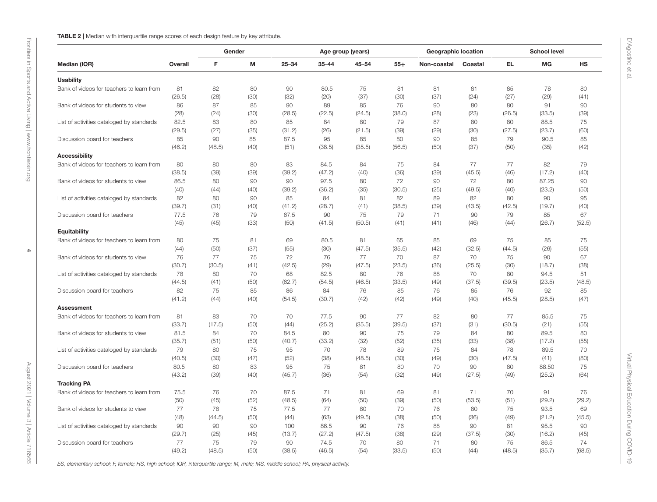| Median (IQR)                                              |         | Gender |      |           |           | Age group (years) | Geographic location |             |         | <b>School level</b> |        |        |
|-----------------------------------------------------------|---------|--------|------|-----------|-----------|-------------------|---------------------|-------------|---------|---------------------|--------|--------|
|                                                           | Overall | F      | M    | $25 - 34$ | $35 - 44$ | $45 - 54$         | $55+$               | Non-coastal | Coastal | EL.                 | МG     | HS     |
| <b>Usability</b>                                          |         |        |      |           |           |                   |                     |             |         |                     |        |        |
| Bank of videos for teachers to learn from                 | 81      | 82     | 80   | 90        | 80.5      | 75                | 81                  | 81          | 81      | 85                  | 78     | 80     |
|                                                           | (26.5)  | (28)   | (30) | (32)      | (20)      | (37)              | (30)                | (37)        | (24)    | (27)                | (29)   | (41)   |
| Bank of videos for students to view                       | 86      | 87     | 85   | 90        | 89        | 85                | 76                  | 90          | 80      | 80                  | 91     | 90     |
|                                                           | (28)    | (24)   | (30) | (28.5)    | (22.5)    | (24.5)            | (38.0)              | (28)        | (23)    | (26.5)              | (33.5) | (39)   |
| List of activities cataloged by standards                 | 82.5    | 83     | 80   | 85        | 84        | 80                | 79                  | 87          | 80      | 80                  | 88.5   | 75     |
|                                                           | (29.5)  | (27)   | (35) | (31.2)    | (26)      | (21.5)            | (39)                | (29)        | (30)    | (27.5)              | (23.7) | (60)   |
| Discussion board for teachers                             | 85      | 90     | 85   | 87.5      | 95        | 85                | 80                  | 90          | 85      | 79                  | 90.5   | 85     |
|                                                           | (46.2)  | (48.5) | (40) | (51)      | (38.5)    | (35.5)            | (56.5)              | (50)        | (37)    | (50)                | (35)   | (42)   |
| <b>Accessibility</b>                                      |         |        |      |           |           |                   |                     |             |         |                     |        |        |
| Bank of videos for teachers to learn from                 | 80      | 80     | 80   | 83        | 84.5      | 84                | 75                  | 84          | 77      | 77                  | 82     | 79     |
|                                                           | (38.5)  | (39)   | (39) | (39.2)    | (47.2)    | (40)              | (36)                | (39)        | (45.5)  | (46)                | (17.2) | (40)   |
| Bank of videos for students to view                       | 86.5    | 80     | 90   | 90        | 97.5      | 80                | 72                  | 90          | 72      | 80                  | 87.25  | 90     |
|                                                           | (40)    | (44)   | (40) | (39.2)    | (36.2)    | (35)              | (30.5)              | (25)        | (49.5)  | (40)                | (23.2) | (50)   |
| List of activities cataloged by standards                 | 82      | 80     | 90   | 85        | 84        | 81                | 82                  | 89          | 82      | 80                  | 90     | 95     |
|                                                           | (39.7)  | (31)   | (40) | (41.2)    | (28.7)    | (41)              | (38.5)              | (39)        | (43.5)  | (42.5)              | (19.7) | (40)   |
| Discussion board for teachers                             | 77.5    | 76     | 79   | 67.5      | 90        | 75                | 79                  | 71          | 90      | 79                  | 85     | 67     |
|                                                           | (45)    | (45)   | (33) | (50)      | (41.5)    | (50.5)            | (41)                | (41)        | (46)    | (44)                | (26.7) | (52.5) |
|                                                           |         |        |      |           |           |                   |                     |             |         |                     |        |        |
| Equitability<br>Bank of videos for teachers to learn from |         |        |      |           |           |                   |                     |             |         |                     |        |        |
|                                                           | 80      | 75     | 81   | 69        | 80.5      | 81                | 65                  | 85          | 69      | 75                  | 85     | 75     |
| Bank of videos for students to view                       | (44)    | (50)   | (37) | (55)      | (30)      | (47.5)            | (35.5)              | (42)        | (32.5)  | (44.5)              | (26)   | (55)   |
|                                                           | 76      | 77     | 75   | 72        | 76        | 77                | 70                  | 87          | 70      | 75                  | 90     | 67     |
|                                                           | (30.7)  | (30.5) | (41) | (42.5)    | (29)      | (47.5)            | (23.5)              | (36)        | (25.5)  | (30)                | (18.7) | (38)   |
| List of activities cataloged by standards                 | 78      | 80     | 70   | 68        | 82.5      | 80                | 76                  | 88          | 70      | 80                  | 94.5   | 51     |
|                                                           | (44.5)  | (41)   | (50) | (62.7)    | (54.5)    | (46.5)            | (33.5)              | (49)        | (37.5)  | (39.5)              | (23.5) | (48.5) |
| Discussion board for teachers                             | 82      | 75     | 85   | 86        | 84        | 76                | 85                  | 76          | 85      | 76                  | 92     | 85     |
|                                                           | (41.2)  | (44)   | (40) | (54.5)    | (30.7)    | (42)              | (42)                | (49)        | (40)    | (45.5)              | (28.5) | (47)   |
| <b>Assessment</b>                                         |         |        |      |           |           |                   |                     |             |         |                     |        |        |
| Bank of videos for teachers to learn from                 | 81      | 83     | 70   | 70        | 77.5      | 90                | 77                  | 82          | 80      | 77                  | 85.5   | 75     |
|                                                           | (33.7)  | (17.5) | (50) | (44)      | (25.2)    | (35.5)            | (39.5)              | (37)        | (31)    | (30.5)              | (21)   | (55)   |
| Bank of videos for students to view                       | 81.5    | 84     | 70   | 84.5      | 80        | 90                | 75                  | 79          | 84      | 80                  | 89.5   | 80     |
|                                                           | (35.7)  | (51)   | (50) | (40.7)    | (33.2)    | (32)              | (52)                | (35)        | (33)    | (38)                | (17.2) | (55)   |
| List of activities cataloged by standards                 | 79      | 80     | 75   | 95        | 70        | 78                | 89                  | 75          | 84      | 78                  | 89.5   | 70     |
|                                                           | (40.5)  | (30)   | (47) | (52)      | (38)      | (48.5)            | (30)                | (49)        | (30)    | (47.5)              | (41)   | (80)   |
| Discussion board for teachers                             | 80.5    | 80     | 83   | 95        | 75        | 81                | 80                  | 70          | 90      | 80                  | 88.50  | 75     |
|                                                           | (43.2)  | (39)   | (40) | (45.7)    | (36)      | (54)              | (32)                | (49)        | (27.5)  | (49)                | (25.2) | (64)   |
| <b>Tracking PA</b>                                        |         |        |      |           |           |                   |                     |             |         |                     |        |        |
| Bank of videos for teachers to learn from                 | 75.5    | 76     | 70   | 87.5      | 71        | 81                | 69                  | 81          | 71      | 70                  | 91     | 76     |
|                                                           | (50)    | (45)   | (52) | (48.5)    | (64)      | (50)              | (39)                | (50)        | (53.5)  | (51)                | (29.2) | (29.2) |
| Bank of videos for students to view                       | 77      | 78     | 75   | 77.5      | 77        | 80                | 70                  | 76          | 80      | 75                  | 93.5   | 69     |
|                                                           | (48)    | (44.5) | (50) | (44)      | (63)      | (49.5)            | (38)                | (50)        | (36)    | (49)                | (21.2) | (45.5) |
| List of activities cataloged by standards                 | 90      | 90     | 90   | 100       | 86.5      | 90                | 76                  | 88          | 90      | 81                  | 95.5   | 90     |
|                                                           | (29.7)  | (25)   | (45) | (13.7)    | (27.2)    | (47.5)            | (38)                | (29)        | (37.5)  | (30)                | (16.2) | (45)   |
| Discussion board for teachers                             | 77      | 75     | 79   | 90        | 74.5      | 70                | 80                  | 71          | 80      | 75                  | 86.5   | 74     |
|                                                           | (49.2)  | (48.5) | (50) | (38.5)    | (46.5)    | (54)              | (33.5)              | (50)        | (44)    | (48.5)              | (35.7) | (68.5) |

<span id="page-4-0"></span>ES, elementary school; F, female; HS, high school; IQR, interquartile range; M, male; MS, middle school; PA, physical activity.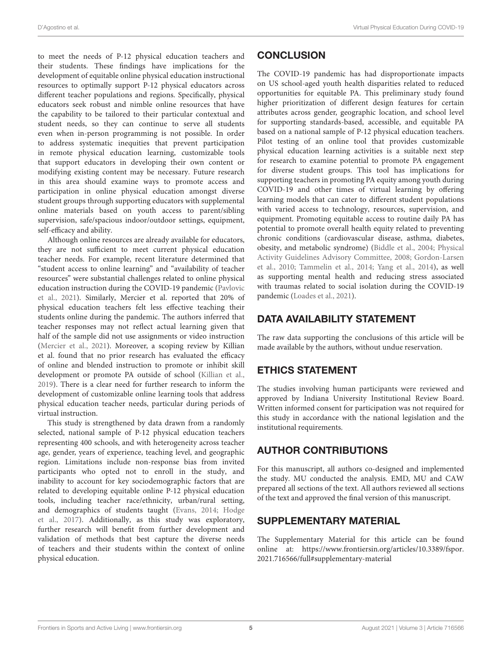to meet the needs of P-12 physical education teachers and their students. These findings have implications for the development of equitable online physical education instructional resources to optimally support P-12 physical educators across different teacher populations and regions. Specifically, physical educators seek robust and nimble online resources that have the capability to be tailored to their particular contextual and student needs, so they can continue to serve all students even when in-person programming is not possible. In order to address systematic inequities that prevent participation in remote physical education learning, customizable tools that support educators in developing their own content or modifying existing content may be necessary. Future research in this area should examine ways to promote access and participation in online physical education amongst diverse student groups through supporting educators with supplemental online materials based on youth access to parent/sibling supervision, safe/spacious indoor/outdoor settings, equipment, self-efficacy and ability.

Although online resources are already available for educators, they are not sufficient to meet current physical education teacher needs. For example, recent literature determined that "student access to online learning" and "availability of teacher resources" were substantial challenges related to online physical education instruction during the COVID-19 pandemic (Pavlovic et al., [2021\)](#page-6-16). Similarly, Mercier et al. reported that 20% of physical education teachers felt less effective teaching their students online during the pandemic. The authors inferred that teacher responses may not reflect actual learning given that half of the sample did not use assignments or video instruction [\(Mercier et al., 2021\)](#page-6-17). Moreover, a scoping review by Killian et al. found that no prior research has evaluated the efficacy of online and blended instruction to promote or inhibit skill development or promote PA outside of school [\(Killian et al.,](#page-6-18) [2019\)](#page-6-18). There is a clear need for further research to inform the development of customizable online learning tools that address physical education teacher needs, particular during periods of virtual instruction.

This study is strengthened by data drawn from a randomly selected, national sample of P-12 physical education teachers representing 400 schools, and with heterogeneity across teacher age, gender, years of experience, teaching level, and geographic region. Limitations include non-response bias from invited participants who opted not to enroll in the study, and inability to account for key sociodemographic factors that are related to developing equitable online P-12 physical education tools, including teacher race/ethnicity, urban/rural setting, and demographics of students taught [\(Evans, 2014;](#page-6-19) Hodge et al., [2017\)](#page-6-20). Additionally, as this study was exploratory, further research will benefit from further development and validation of methods that best capture the diverse needs of teachers and their students within the context of online physical education.

## **CONCLUSION**

The COVID-19 pandemic has had disproportionate impacts on US school-aged youth health disparities related to reduced opportunities for equitable PA. This preliminary study found higher prioritization of different design features for certain attributes across gender, geographic location, and school level for supporting standards-based, accessible, and equitable PA based on a national sample of P-12 physical education teachers. Pilot testing of an online tool that provides customizable physical education learning activities is a suitable next step for research to examine potential to promote PA engagement for diverse student groups. This tool has implications for supporting teachers in promoting PA equity among youth during COVID-19 and other times of virtual learning by offering learning models that can cater to different student populations with varied access to technology, resources, supervision, and equipment. Promoting equitable access to routine daily PA has potential to promote overall health equity related to preventing chronic conditions (cardiovascular disease, asthma, diabetes, obesity, and metabolic syndrome) [\(Biddle et al., 2004;](#page-6-21) Physical Activity Guidelines Advisory Committee, [2008;](#page-6-22) Gordon-Larsen et al., [2010;](#page-6-23) [Tammelin et al., 2014;](#page-6-24) [Yang et al., 2014\)](#page-6-25), as well as supporting mental health and reducing stress associated with traumas related to social isolation during the COVID-19 pandemic [\(Loades et al., 2021\)](#page-6-26).

## DATA AVAILABILITY STATEMENT

The raw data supporting the conclusions of this article will be made available by the authors, without undue reservation.

## ETHICS STATEMENT

The studies involving human participants were reviewed and approved by Indiana University Institutional Review Board. Written informed consent for participation was not required for this study in accordance with the national legislation and the institutional requirements.

# AUTHOR CONTRIBUTIONS

For this manuscript, all authors co-designed and implemented the study. MU conducted the analysis. EMD, MU and CAW prepared all sections of the text. All authors reviewed all sections of the text and approved the final version of this manuscript.

## SUPPLEMENTARY MATERIAL

<span id="page-5-0"></span>The Supplementary Material for this article can be found [online at: https://www.frontiersin.org/articles/10.3389/fspor.](https://www.frontiersin.org/articles/10.3389/fspor.2021.716566/full#supplementary-material) 2021.716566/full#supplementary-material